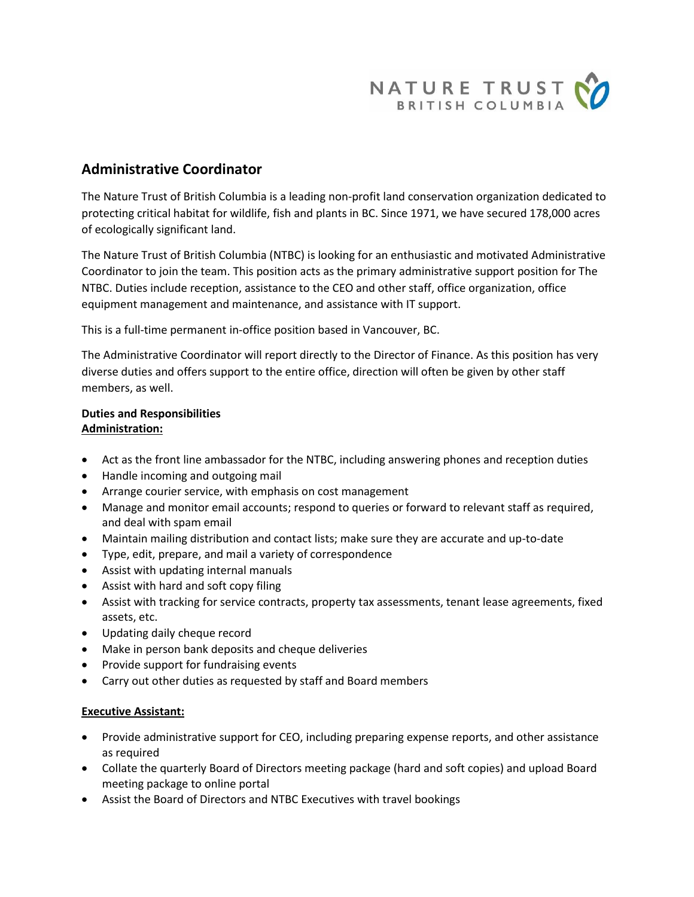

# **Administrative Coordinator**

The Nature Trust of British Columbia is a leading non-profit land conservation organization dedicated to protecting critical habitat for wildlife, fish and plants in BC. Since 1971, we have secured 178,000 acres of ecologically significant land.

The Nature Trust of British Columbia (NTBC) is looking for an enthusiastic and motivated Administrative Coordinator to join the team. This position acts as the primary administrative support position for The NTBC. Duties include reception, assistance to the CEO and other staff, office organization, office equipment management and maintenance, and assistance with IT support.

This is a full-time permanent in-office position based in Vancouver, BC.

The Administrative Coordinator will report directly to the Director of Finance. As this position has very diverse duties and offers support to the entire office, direction will often be given by other staff members, as well.

# **Duties and Responsibilities Administration:**

- Act as the front line ambassador for the NTBC, including answering phones and reception duties
- Handle incoming and outgoing mail
- Arrange courier service, with emphasis on cost management
- Manage and monitor email accounts; respond to queries or forward to relevant staff as required, and deal with spam email
- Maintain mailing distribution and contact lists; make sure they are accurate and up-to-date
- Type, edit, prepare, and mail a variety of correspondence
- Assist with updating internal manuals
- Assist with hard and soft copy filing
- Assist with tracking for service contracts, property tax assessments, tenant lease agreements, fixed assets, etc.
- Updating daily cheque record
- Make in person bank deposits and cheque deliveries
- Provide support for fundraising events
- Carry out other duties as requested by staff and Board members

# **Executive Assistant:**

- Provide administrative support for CEO, including preparing expense reports, and other assistance as required
- Collate the quarterly Board of Directors meeting package (hard and soft copies) and upload Board meeting package to online portal
- Assist the Board of Directors and NTBC Executives with travel bookings